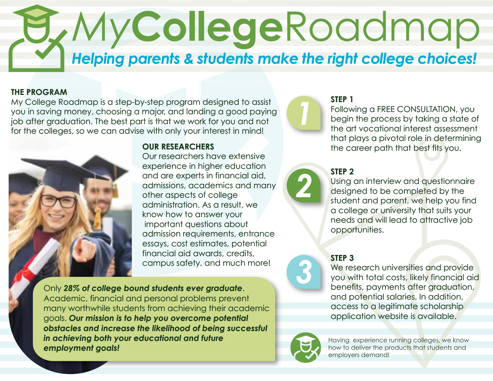# *My***College**Roadmap *Helping parents & students make the right college choices!*

#### **THE PROGRAM**

My College Roadmap is a step-by-step program designed to assist you in saving money, choosing a major, and landing a good paying job after graduation. The best part is that we work for you and not for the colleges, so we can advise with only your interest in mind!



## **OUR RESEARCHERS**

Our researchers have extensive experience in higher education and are experts in financial aid, admissions, academics and many other aspects of college administration. As a result, we know how to answer your important questions about admission requirements, entrance essays, cost estimates, potential financial aid awards, credits, campus safety, and much more!

Only *28% of college bound students ever graduate*. Academic, financial and personal problems prevent many worthwhile students from achieving their academic goals. *Our mission is to help you overcome potential obstacles and increase the likelihood of being successful in achieving both your educational and future employment goals!*

## **STEP 1**

Following a FREE CONSULTATION, you begin the process by taking a state of the art vocational interest assessment that plays a pivotal role in determining the career path that best fits you.



### **STEP 2**

Using an interview and questionnaire designed to be completed by the student and parent, we help you find a college or university that suits your needs and will lead to attractive job opportunities.

#### **STEP 3**

We research universities and provide you with total costs, likely financial aid benefits, payments after graduation, and potential salaries. In addition, access to a legitimate scholarship application website is available.



Having experience running colleges, we know how to deliver the products that students and employers demand!